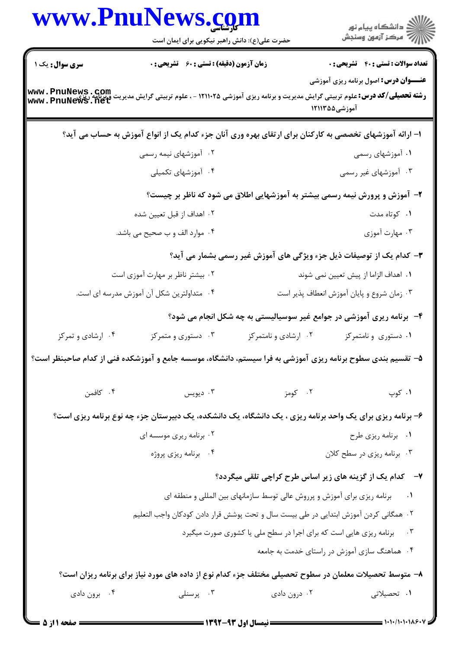|                        | www.PnulNews.com<br>حضرت علی(ع): دانش راهبر نیکویی برای ایمان است                                                                                 |                                                                          | ر<br>دانشڪاه پيام نور)<br>ا∛ مرکز آزمون وسنڊش                               |
|------------------------|---------------------------------------------------------------------------------------------------------------------------------------------------|--------------------------------------------------------------------------|-----------------------------------------------------------------------------|
| <b>سری سوال :</b> یک ۱ | زمان آزمون (دقیقه) : تستی : 60 ٪ تشریحی : 0                                                                                                       |                                                                          | <b>تعداد سوالات : تستی : 40 گشریحی : 0</b>                                  |
|                        | <b>رشته تحصیلی/کد درس:</b> علوم تربیتی گرایش مدیریت و برنامه ریزی آموزشی ۱۲۱۱۰۲۵ - ، علوم تربیتی گرایش مدیریت ویرنامه ریزی<br>www . PnuNews . net |                                                                          | <b>عنـــوان درس:</b> اصول برنامه ریزی آموزشی<br>آموزشی۵۵ ۱۲۱۱۳              |
|                        | ۱– ارائه آموزشهای تخصصی به کارکنان برای ارتقای بهره وری آنان جزء کدام یک از انواع آموزش به حساب می آید؟                                           |                                                                          |                                                                             |
|                        | ۰۲ آموزشهای نیمه رسمی                                                                                                                             |                                                                          | ۰۱ آموزشهای رسمی                                                            |
|                        | ۰۴ آموزشهای تکمیلی                                                                                                                                |                                                                          | ۰۳ آموزشهای غیر رسمی                                                        |
|                        |                                                                                                                                                   |                                                                          | ۲- آموزش و پرورش نیمه رسمی بیشتر به آموزشهایی اطلاق می شود که ناظر بر چیست؟ |
|                        | ۰۲ اهداف از قبل تعیین شده                                                                                                                         |                                                                          | ۰۱ کوتاه مدت                                                                |
|                        | ۰۴ موارد الف و ب صحیح می باشد.                                                                                                                    |                                                                          | ۰۳ مهارت آموزی                                                              |
|                        |                                                                                                                                                   |                                                                          | ۳- کدام یک از توصیفات ذیل جزء ویژگی های آموزش غیر رسمی بشمار می آید؟        |
|                        | ۰۲ بیشتر ناظر بر مهارت آموزی است                                                                                                                  |                                                                          | ٠١. اهداف الزاما از پيش تعيين نمي شوند                                      |
|                        | ۰۴ متداولترین شکل آن آموزش مدرسه ای است.                                                                                                          |                                                                          | ۰۳ زمان شروع و پایان آموزش انعطاف پذیر است                                  |
|                        |                                                                                                                                                   |                                                                          | ۴-۔ برنامه ریری آموزشی در جوامع غیر سوسیالیستی به چه شکل انجام می شود؟      |
| ۰۴ ارشادی و تمرکز      | ۰۳ دستوری و متمرکز                                                                                                                                | ۰۲ ارشادی و نامتمرکز                                                     | ۰۱ دستوری و نامتمرکز                                                        |
|                        | ۵– تقسیم بندی سطوح برنامه ریزی آموزشی به فرا سیستم، دانشگاه، موسسه جامع و آموزشکده فنی از کدام صاحبنظر است؟                                       |                                                                          |                                                                             |
| ۰۴ کافمن               | ديويس $\cdot$ ۳                                                                                                                                   | ۰۲ کومز                                                                  | ۰۱ کوپ                                                                      |
|                        | ۶- برنامه ریزی برای یک واحد برنامه ریزی ، یک دانشگاه، یک دانشکده، یک دبیرستان جزء چه نوع برنامه ریزی است؟                                         |                                                                          |                                                                             |
|                        | ۰۲ برنامه ریری موسسه ای                                                                                                                           |                                                                          | ۰۱ برنامه ریزی طرح                                                          |
|                        | ۰۴ برنامه ریزی پروژه                                                                                                                              |                                                                          | ۰۳ برنامه ریزی در سطح کلان                                                  |
|                        |                                                                                                                                                   |                                                                          | ۷- گدام یک از گزینه های زیر اساس طرح کراچی تلقی میگردد؟                     |
|                        |                                                                                                                                                   | برنامه ریزی برای آموزش و پرروش عالی توسط سازمانهای بین المللی و منطقه ای |                                                                             |
|                        | ٠٢ همگاني كردن آموزش ابتدايي در طي بيست سال و تحت پوشش قرار دادن كودكان واجب التعليم                                                              |                                                                          |                                                                             |
|                        |                                                                                                                                                   | برنامه ریزی هایی است که برای اجرا در سطح ملی یا کشوری صورت میگیرد        | $\cdot$ $\mathsf{r}$                                                        |
|                        |                                                                                                                                                   |                                                                          | ۰۴ هماهنگ سازی آموزش در راستای خدمت به جامعه                                |
|                        | ۸– متوسط تحصیلات معلمان در سطوح تحصیلی مختلف جزء کدام نوع از داده های مورد نیاز برای برنامه ریزان است؟                                            |                                                                          |                                                                             |
| ۰۴ برون دادی           | ۰۳ پرسنلی                                                                                                                                         | ۰۲ درون دادی                                                             | ۰۱ تحصیلاتی                                                                 |
| = صفحه ۱ از 5          |                                                                                                                                                   | ــــــــــــــ نیمسال اول ۹۳-۱۳۹۲ ـــــــــــــ                          | = 1・1・/1・1・1×۶・1                                                            |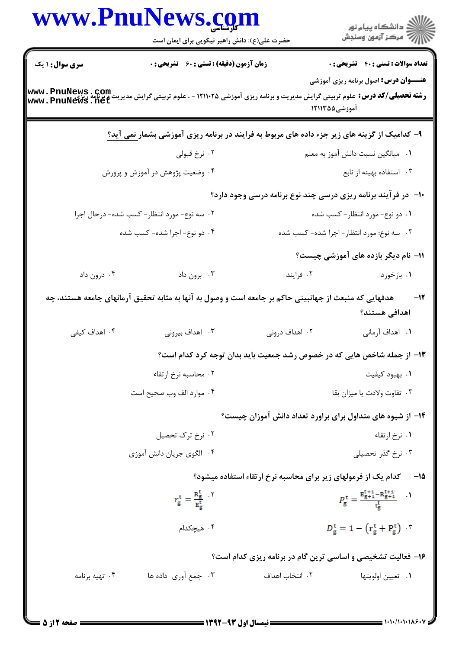|                        | حضرت علی(ع): دانش راهبر نیکویی برای ایمان است                                                                                                         |                                                                         | ِ<br>∭ دانشڪاه پيام نور<br>∭ مرڪز آزمون وسنڊش                                                                    |
|------------------------|-------------------------------------------------------------------------------------------------------------------------------------------------------|-------------------------------------------------------------------------|------------------------------------------------------------------------------------------------------------------|
| <b>سری سوال : ۱ یک</b> | <b>زمان آزمون (دقیقه) : تستی : 60 ٪ تشریحی : 0</b>                                                                                                    |                                                                         | <b>تعداد سوالات : تستی : 40 - تشریحی : .</b>                                                                     |
| www.PnuNews.com        | <b>رشته تحصیلی/کد درس: ع</b> لوم تربیتی گرایش مدیریت و برنامه ریزی آموزشی ۱۲۱۱۰۲۵ - ، علوم تربیتی گرایش مدیریت و برنامه ریزی<br>  www . PnuNews . net | آموزشی۵۵ ۱۲۱۱۳۵                                                         | <b>عنـــوان درس:</b> اصول برنامه ریزی آموزشی                                                                     |
|                        | ۹- کدامیک از گزینه های زیر جزء داده های مربوط به فرایند در برنامه ریزی آموزشی بشمار <u>نمی</u> آید؟                                                   |                                                                         |                                                                                                                  |
|                        | ۰۲ نرخ قبولی                                                                                                                                          |                                                                         | ٠١ ميانگين نسبت دانش آموز به معلم                                                                                |
|                        | ۰۴ وضعیت پژوهش در آموزش و پرورش                                                                                                                       |                                                                         | ۰۳ استفاده بهینه از نابع                                                                                         |
|                        |                                                                                                                                                       | ∙ا− در فرآیند برنامه ریزی درسی چند نوع برنامه درسی وجود دارد؟           |                                                                                                                  |
|                        | ۰۲ سه نوع- مورد انتظار- کسب شده- درحال اجرا                                                                                                           |                                                                         | ۰۱ دو نوع- مورد انتظار- کسب شده                                                                                  |
|                        | ۴. دو نوع-اجرا شده- کسب شده                                                                                                                           |                                                                         | ۰۳ سه نوع: مورد انتظار – اجرا شده- کسب شده                                                                       |
|                        |                                                                                                                                                       |                                                                         | 11- نام دیگر بازده های آموزشی چیست؟                                                                              |
| ۰۴ درون داد            | ۰۳ برون داد                                                                                                                                           | ۰۲ فرايند                                                               | ۰۱ بازخورد                                                                                                       |
|                        | هدفهایی که منبعث از جهانبینی حاکم بر جامعه است و وصول به آنها به مثابه تحقیق آرمانهای جامعه هستند، چه                                                 |                                                                         | -12<br>اهدافی هستند؟                                                                                             |
| ۰۴ اهداف کیفی          | ۰۳ اهداف بیرونی                                                                                                                                       | ۰۲ اهداف درونی                                                          | ۰۱ اهداف آرمانی                                                                                                  |
|                        |                                                                                                                                                       | ۱۳– از جمله شاخص هایی که در خصوص رشد جمعیت باید بدان توجه کرد کدام است؟ |                                                                                                                  |
|                        | ۰۲ محاسبه نرخ ارتقاء                                                                                                                                  |                                                                         | ٠١. بهبود كيفيت                                                                                                  |
|                        | ۰۴ موارد الف وب صحيح است                                                                                                                              |                                                                         | ٠٣ تفاوت ولادت يا ميزان بقا                                                                                      |
|                        |                                                                                                                                                       | ۱۴– از شیوه های متداول برای براورد تعداد دانش آموزان چیست؟              |                                                                                                                  |
|                        | ۰۲ نرخ ترک تحصیل                                                                                                                                      |                                                                         | ۰۱ نرخ ارتقاء                                                                                                    |
|                        | ۰۴ الگوی جریان دانش آموزی                                                                                                                             |                                                                         | ۰۳ نرخ گذر تحصیلی                                                                                                |
|                        |                                                                                                                                                       | کدام یک از فرمولهای زیر برای محاسبه نرخ ارتقاء استفاده میشود؟           | - 15                                                                                                             |
|                        | $r_{\rm g}^{\rm t} = \frac{R_{\rm g}^{\rm t}}{R_{\rm g}^{\rm t}}$ .                                                                                   |                                                                         | $P_{\rm g}^{\rm t} = \frac{{\rm E}_{\rm g+1}^{\rm t+1} - {\rm R}_{\rm g+1}^{\rm t+1}}{ {\rm t}_{\rm g}^{\rm t}}$ |
|                        | ۰۴ هیچکدام                                                                                                                                            |                                                                         | $D_{\rm g}^{\rm t} = 1 - (r_{\rm g}^{\rm t} + P_{\rm g}^{\rm t})$                                                |
|                        |                                                                                                                                                       | ۱۶- فعالیت تشخیصی و اساسی ترین گام در برنامه ریزی کدام است؟             |                                                                                                                  |
| ۰۴ تهیه برنامه         | ۰۳ جمع آوري داده ها                                                                                                                                   | ٢. انتخاب اهداف                                                         | ٠١. تعيين اولويتها                                                                                               |

**: صفحه 2 از 5 =**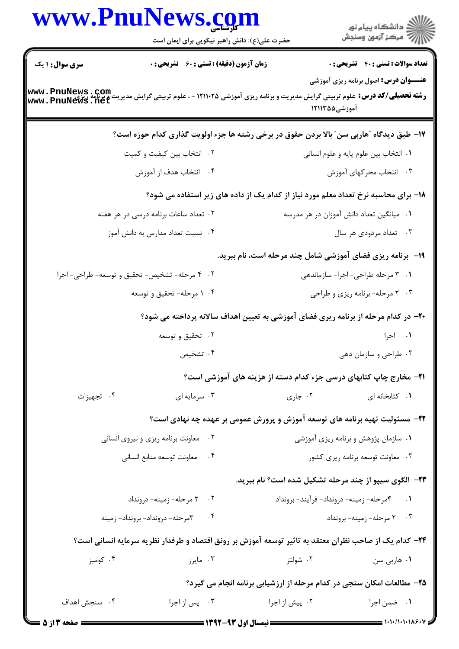|                        | www.PnuNews.com<br>حضرت علی(ع): دانش راهبر نیکویی برای ایمان است                                                                              |                                                                             | ِ<br>∭ دانشڪاه پيام نور<br>∭ مرڪز آزمون وسنڊش |
|------------------------|-----------------------------------------------------------------------------------------------------------------------------------------------|-----------------------------------------------------------------------------|-----------------------------------------------|
| <b>سری سوال : ۱ یک</b> | زمان آزمون (دقیقه) : تستی : 60 ٪ تشریحی : 0                                                                                                   |                                                                             | <b>تعداد سوالات : تستی : 40 - تشریحی : 0</b>  |
|                        | <b>رشته تحصیلی/کد درس:</b> علوم تربیتی گرایش مدیریت و برنامه ریزی آموزشی ۱۲۱۱۰۲۵ - ، علوم تربیتی گرایش مدیریت و برنامه<br>www . PnuNews . net | آموزشی۵۵ ۱۲۱۱۳                                                              | <b>عنـــوان درس:</b> اصول برنامه ریزی آموزشی  |
|                        | ۱۷- طبق دیدگاه آهاربی سن ّ بالا بردن حقوق در برخی رشته ها جزء اولویت گذاری کدام حوزه است؟                                                     |                                                                             |                                               |
|                        | ۰۲ انتخاب بین کیفیت و کمیت                                                                                                                    |                                                                             | ٠١ انتخاب بين علوم پايه و علوم انساني         |
|                        | ۰۴ انتخاب هدف از آموزش                                                                                                                        |                                                                             | ۰۳ انتخاب محرکهای آموزش                       |
|                        | ۱۸– برای محاسبه نرخ تعداد معلم مورد نیاز از کدام یک از داده های زیر استفاده می شود؟                                                           |                                                                             |                                               |
|                        | ۰۲ تعداد ساعات برنامه درسی در هر هفته                                                                                                         |                                                                             | ۰۱ میانگین تعداد دانش آموزان در هر مدرسه      |
|                        | ۰۴ نسبت تعداد مدارس به دانش آموز                                                                                                              |                                                                             | ۰۳ تعداد مردودي هر سال                        |
|                        |                                                                                                                                               | ۱۹- برنامه ریزی فضای آموزشی شامل چند مرحله است، نام ببرید.                  |                                               |
|                        | ۰۲ مرحله- تشخیص- تحقیق و توسعه- طراحی- اجرا                                                                                                   |                                                                             | ۰۱ ۳ مرحله طراحی- اجرا- سازماندهی             |
|                        | ۰۴ مرحله- تحقیق و توسعه                                                                                                                       |                                                                             | ۰۳ مرحله-برنامه ریزی و طراحی                  |
|                        | +۲- در کدام مرحله از برنامه ریری فضای آموزشی به تعیین اهداف سالانه پرداخته می شود؟                                                            |                                                                             |                                               |
|                        | ۰۲ تحقیق و توسعه                                                                                                                              |                                                                             | ۰۱ اجرا                                       |
|                        | ۰۴ تشخیص                                                                                                                                      |                                                                             | ۰۳ طراحی و سازمان دهی                         |
|                        |                                                                                                                                               | <b>۲۱</b> - مخارج چاپ کتابهای درسی جزء کدام دسته از هزینه های آموزشی است؟   |                                               |
| ۰۴ تجهيزات             | ۰۳ سرمایه ای                                                                                                                                  | ۰۲ جاری                                                                     | ٠١ كتابخانه اى                                |
|                        |                                                                                                                                               | ۲۲- مسئولیت تهیه برنامه های توسعه آموزش و پرورش عمومی بر عهده چه نهادی است؟ |                                               |
|                        | معاونت برنامه ريزي و نيروي انساني<br>$\cdot$ $\cdot$ $\cdot$                                                                                  |                                                                             | ۰۱ سازمان پژوهش و برنامه ریزی آموزشی          |
|                        | ۰۴ معاونت توسعه منابع انسانى                                                                                                                  |                                                                             | ۰۳ معاونت توسعه برنامه ريرى كشور              |
|                        |                                                                                                                                               | <b>۲۳</b> - الگوی سیپو از چند مرحله تشکیل شده است؟ نام ببرید.               |                                               |
|                        | ۰۲ مرحله- زمینه- درونداد                                                                                                                      |                                                                             | ۰۱ قصرحله- زمینه- درونداد- فرآیند- برونداد    |
|                        | ۰۴ مرحله- درونداد- برونداد- زمينه                                                                                                             |                                                                             | ۰۳ مرحله- زمینه- برونداد                      |
|                        | <b>۳۴</b> – کدام یک از صاحب نظران معتقد به تاثیر توسعه آموزش بر رونق اقتصاد و طرفدار نظریه سرمایه انسانی است؟                                 |                                                                             |                                               |
| ۰۴ کومبز               | ۰۳ مايرز                                                                                                                                      | ۰۲ شولتز                                                                    | ۰۱ هاربي سن                                   |
|                        |                                                                                                                                               | ۲۵- مطالعات امکان سنجی در کدام مرحله از ارزشیابی برنامه انجام می گیرد؟      |                                               |
| ۰۴ سنجش اهداف          | ۰۳ پس از اجرا                                                                                                                                 | ۰۲ پیش از اجرا                                                              | ٠١. ضمن اجرا                                  |
|                        |                                                                                                                                               |                                                                             |                                               |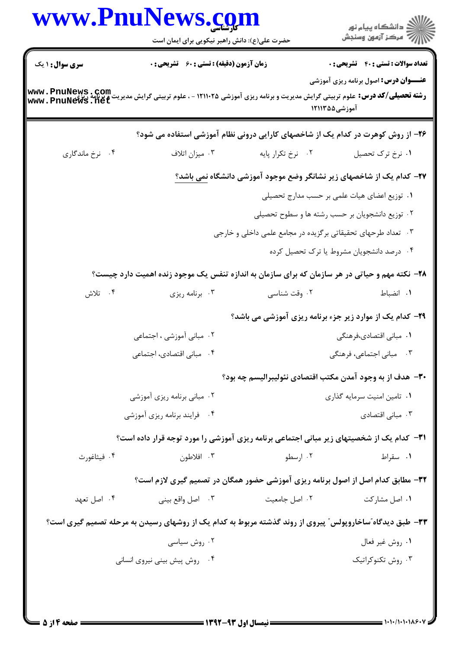|                        | حضرت علی(ع): دانش راهبر نیکویی برای ایمان است                                                                                                         |                                                                                     | ِ<br>∭ دانشڪاه پيام نور<br>∭ مرڪز آزمون وسنڊش |
|------------------------|-------------------------------------------------------------------------------------------------------------------------------------------------------|-------------------------------------------------------------------------------------|-----------------------------------------------|
| <b>سری سوال : ۱ یک</b> | زمان آزمون (دقیقه) : تستی : 60 ٪ تشریحی : 0                                                                                                           |                                                                                     | <b>تعداد سوالات : تستي : 40 ٪ تشريحي : 0</b>  |
| www.PnuNews.com        | <b>رشته تحصیلی/کد درس: ع</b> لوم تربیتی گرایش مدیریت و برنامه ریزی آموزشی ۱۲۱۱۰۲۵ - ، علوم تربیتی گرایش مدیریت و برنامه زیزی<br>  www . PnuNews . net | آموزشی۵۵ ۱۲۱۱۳۵                                                                     | <b>عنـــوان درس:</b> اصول برنامه ریزی آموزشی  |
|                        | ۲۶– از روش کوهرت در کدام یک از شاخصهای کارایی درونی نظام آموزشی استفاده می شود؟                                                                       |                                                                                     |                                               |
| ۰۴ نرخ ماندگاری        | ۰۳ میزان اتلاف                                                                                                                                        | ۰۲ نرخ تکرار پايه                                                                   | ۰۱ نرخ ترک تحصیل                              |
|                        |                                                                                                                                                       | <b>۲۷</b> – کدام یک از شاخصهای زیر نشانگر وضع موجود آموزشی دانشگاه <u>نمی باشد؟</u> |                                               |
|                        |                                                                                                                                                       | ۰۱ توزیع اعضای هیات علمی بر حسب مدارج تحصیلی                                        |                                               |
|                        |                                                                                                                                                       | ۰۲ توزیع دانشجویان بر حسب رشته ها و سطوح تحصیلی                                     |                                               |
|                        |                                                                                                                                                       | ۰۳ تعداد طرحهای تحقیقاتی برگزیده در مجامع علمی داخلی و خارجی                        |                                               |
|                        |                                                                                                                                                       |                                                                                     | ۰۴ درصد دانشجویان مشروط یا ترک تحصیل کرده     |
|                        | ۲۸- نکته مهم و حیاتی در هر سازمان که برای سازمان به اندازه تنفس یک موجود زنده اهمیت دارد چیست؟                                                        |                                                                                     |                                               |
| ۰۴ تلاش                | ۰۳ برنامه ریزی                                                                                                                                        | ۰۲ وقت شناسی                                                                        | ٠١. انضباط                                    |
|                        |                                                                                                                                                       | <b>۲۹</b> - کدام یک از موارد زیر جزء برنامه ریزی آموزشی می باشد؟                    |                                               |
|                        | ۰۲ مبانی آموزشی ، اجتماعی                                                                                                                             |                                                                                     | ۰۱ مبانی اقتصادی،فرهنگی                       |
|                        | ۰۴ مبانی اقتصادی، اجتماعی                                                                                                                             |                                                                                     | ۰۳ مبانی اجتماعی، فرهنگی                      |
|                        |                                                                                                                                                       | ۳۰— هدف از به وجود آمدن مکتب اقتصادی نئولیبرالیسم چه بود؟                           |                                               |
|                        | ۰۲ مبانی برنامه ریزی آموزشی                                                                                                                           |                                                                                     | ۰۱ تامین امنیت سرمایه گذاری                   |
|                        | ۰۴ فرایند برنامه ریزی آموزشی                                                                                                                          |                                                                                     | ۰۳ مبانی اقتصادی                              |
|                        | <b>۳۱</b> - کدام یک از شخصیتهای زیر مبانی اجتماعی برنامه ریزی آموزشی را مورد توجه قرار داده است؟                                                      |                                                                                     |                                               |
| ۰۴ فیثاغورث            | ۰۳ افلاطون                                                                                                                                            | ۰۲ ارسطو                                                                            | ۰۱ سقراط                                      |
|                        | 33- مطابق کدام اصل از اصول برنامه ریزی آموزشی حضور همگان در تصمیم گیری لازم است؟                                                                      |                                                                                     |                                               |
| ۰۴ اصل تعهد            | ۰۳ اصل واقع بيني                                                                                                                                      | ٠٢ اصل جامعيت                                                                       | ۰۱ اصل مشارکت                                 |
|                        | ۳۳- طبق دیدگاه ّساخاروپولس ّ پیروی از روند گذشته مربوط به کدام یک از روشهای رسیدن به مرحله تصمیم گیری است؟                                            |                                                                                     |                                               |
|                        | ۰۲ روش سیاسی                                                                                                                                          |                                                                                     | ٠١. روش غير فعال                              |
|                        | ۰۴ روش پیش بینی نیروی انسانی                                                                                                                          |                                                                                     | ۰۳ روش تکنوکراتیک                             |